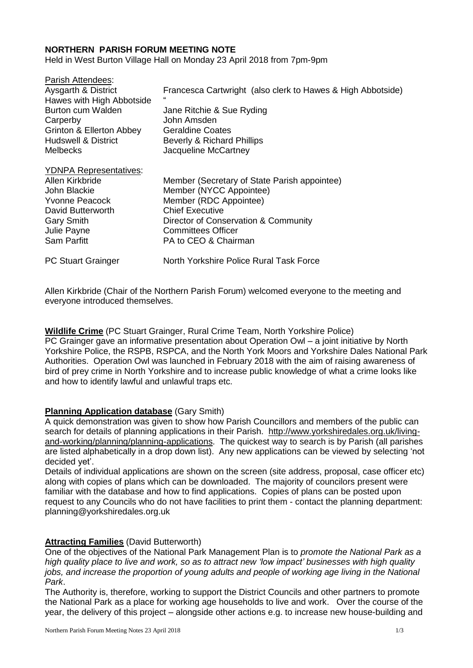## **NORTHERN PARISH FORUM MEETING NOTE**

Held in West Burton Village Hall on Monday 23 April 2018 from 7pm-9pm

| Parish Attendees:             |                                                             |
|-------------------------------|-------------------------------------------------------------|
| Aysgarth & District           | Francesca Cartwright (also clerk to Hawes & High Abbotside) |
| Hawes with High Abbotside     |                                                             |
| Burton cum Walden             | Jane Ritchie & Sue Ryding                                   |
| Carperby                      | John Amsden                                                 |
| Grinton & Ellerton Abbey      | <b>Geraldine Coates</b>                                     |
| Hudswell & District           | Beverly & Richard Phillips                                  |
| Melbecks                      | Jacqueline McCartney                                        |
| <b>YDNPA Representatives:</b> |                                                             |
| Allen Kirkbride               | Member (Secretary of State Parish appointee)                |
| John Blackie                  | Member (NYCC Appointee)                                     |
| <b>Yvonne Peacock</b>         | Member (RDC Appointee)                                      |
| David Butterworth             | <b>Chief Executive</b>                                      |
| <b>Gary Smith</b>             | Director of Conservation & Community                        |
| Julie Payne                   | Committees Officer                                          |
| Sam Parfitt                   | PA to CEO & Chairman                                        |
| <b>PC Stuart Grainger</b>     | North Yorkshire Police Rural Task Force                     |

Allen Kirkbride (Chair of the Northern Parish Forum) welcomed everyone to the meeting and everyone introduced themselves.

**Wildlife Crime** (PC Stuart Grainger, Rural Crime Team, North Yorkshire Police) PC Grainger gave an informative presentation about Operation Owl – a joint initiative by North Yorkshire Police, the RSPB, RSPCA, and the North York Moors and Yorkshire Dales National Park Authorities. Operation Owl was launched in February 2018 with the aim of raising awareness of bird of prey crime in North Yorkshire and to increase public knowledge of what a crime looks like and how to identify lawful and unlawful traps etc.

#### **Planning Application database** (Gary Smith)

A quick demonstration was given to show how Parish Councillors and members of the public can search for details of planning applications in their Parish. [http://www.yorkshiredales.org.uk/living](http://www.yorkshiredales.org.uk/living-and-working/planning/planning-applications)[and-working/planning/planning-applications.](http://www.yorkshiredales.org.uk/living-and-working/planning/planning-applications) The quickest way to search is by Parish (all parishes are listed alphabetically in a drop down list). Any new applications can be viewed by selecting 'not decided yet'.

Details of individual applications are shown on the screen (site address, proposal, case officer etc) along with copies of plans which can be downloaded. The majority of councilors present were familiar with the database and how to find applications. Copies of plans can be posted upon request to any Councils who do not have facilities to print them - contact the planning department: [planning@yorkshiredales.org.uk](mailto:planning@yorkshiredales.org.uk)

## **Attracting Families** (David Butterworth)

One of the objectives of the National Park Management Plan is to *promote the National Park as a* high quality place to live and work, so as to attract new 'low impact' businesses with high quality *jobs, and increase the proportion of young adults and people of working age living in the National Park*.

The Authority is, therefore, working to support the District Councils and other partners to promote the National Park as a place for working age households to live and work. Over the course of the year, the delivery of this project – alongside other actions e.g. to increase new house-building and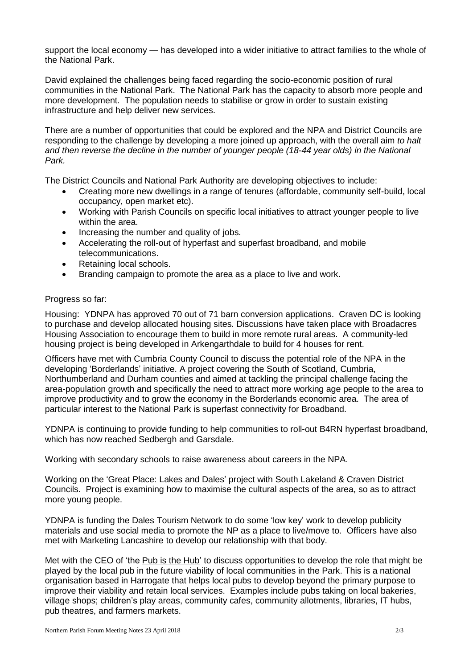support the local economy — has developed into a wider initiative to attract families to the whole of the National Park.

David explained the challenges being faced regarding the socio-economic position of rural communities in the National Park. The National Park has the capacity to absorb more people and more development. The population needs to stabilise or grow in order to sustain existing infrastructure and help deliver new services.

There are a number of opportunities that could be explored and the NPA and District Councils are responding to the challenge by developing a more joined up approach, with the overall aim *to halt and then reverse the decline in the number of younger people (18-44 year olds) in the National Park.*

The District Councils and National Park Authority are developing objectives to include:

- Creating more new dwellings in a range of tenures (affordable, community self-build, local occupancy, open market etc).
- Working with Parish Councils on specific local initiatives to attract younger people to live within the area.
- Increasing the number and quality of jobs.
- Accelerating the roll-out of hyperfast and superfast broadband, and mobile telecommunications.
- Retaining local schools.
- Branding campaign to promote the area as a place to live and work.

### Progress so far:

Housing: YDNPA has approved 70 out of 71 barn conversion applications. Craven DC is looking to purchase and develop allocated housing sites. Discussions have taken place with Broadacres Housing Association to encourage them to build in more remote rural areas. A community-led housing project is being developed in Arkengarthdale to build for 4 houses for rent.

Officers have met with Cumbria County Council to discuss the potential role of the NPA in the developing 'Borderlands' initiative. A project covering the South of Scotland, Cumbria, Northumberland and Durham counties and aimed at tackling the principal challenge facing the area-population growth and specifically the need to attract more working age people to the area to improve productivity and to grow the economy in the Borderlands economic area. The area of particular interest to the National Park is superfast connectivity for Broadband.

YDNPA is continuing to provide funding to help communities to roll-out [B4RN](https://b4rn.org.uk/b4rn-service/) hyperfast broadband, which has now reached Sedbergh and Garsdale.

Working with secondary schools to raise awareness about careers in the NPA.

Working on the 'Great Place: Lakes and Dales' project with South Lakeland & Craven District Councils. Project is examining how to maximise the cultural aspects of the area, so as to attract more young people.

YDNPA is funding the Dales Tourism Network to do some 'low key' work to develop publicity materials and use social media to promote the NP as a place to live/move to. Officers have also met with Marketing Lancashire to develop our relationship with that body.

Met with the CEO of 'the Pub is the [Hub'](https://www.pubisthehub.org.uk/) to discuss opportunities to develop the role that might be played by the local pub in the future viability of local communities in the Park. This is a national organisation based in Harrogate that helps local pubs to develop beyond the primary purpose to improve their viability and retain local services. Examples include pubs taking on local bakeries, village shops; children's play areas, community cafes, community allotments, libraries, IT hubs, pub theatres, and farmers markets.